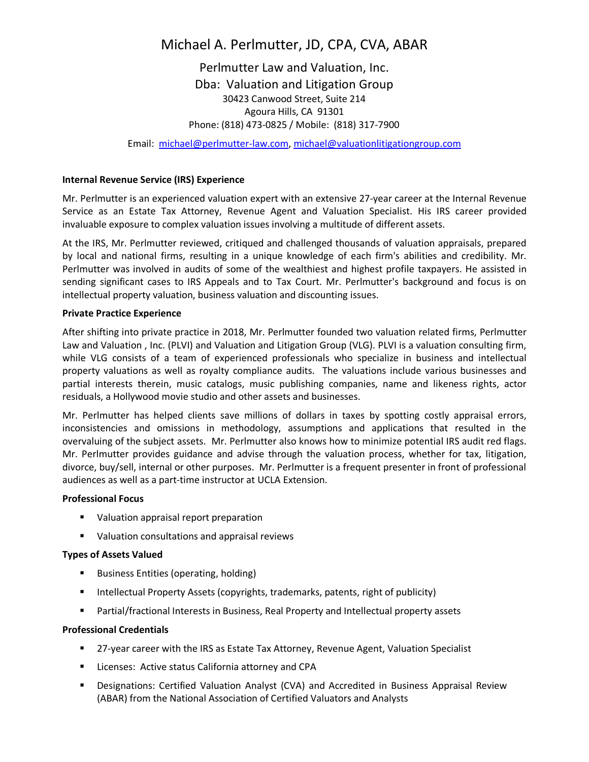# Michael A. Perlmutter, JD, CPA, CVA, ABAR

Perlmutter Law and Valuation, Inc. Dba: Valuation and Litigation Group 30423 Canwood Street, Suite 214 Agoura Hills, CA 91301 Phone: (818) 473-0825 / Mobile: (818) 317-7900

Email: [michael@perlmutter-law.com,](mailto:michael@perlmutter-law.com) [michael@valuationlitigationgroup.com](mailto:michael@valuationlitigationgroup.com)

### **Internal Revenue Service (IRS) Experience**

Mr. Perlmutter is an experienced valuation expert with an extensive 27-year career at the Internal Revenue Service as an Estate Tax Attorney, Revenue Agent and Valuation Specialist. His IRS career provided invaluable exposure to complex valuation issues involving a multitude of different assets.

At the IRS, Mr. Perlmutter reviewed, critiqued and challenged thousands of valuation appraisals, prepared by local and national firms, resulting in a unique knowledge of each firm's abilities and credibility. Mr. Perlmutter was involved in audits of some of the wealthiest and highest profile taxpayers. He assisted in sending significant cases to IRS Appeals and to Tax Court. Mr. Perlmutter's background and focus is on intellectual property valuation, business valuation and discounting issues.

#### **Private Practice Experience**

After shifting into private practice in 2018, Mr. Perlmutter founded two valuation related firms, Perlmutter Law and Valuation , Inc. (PLVI) and Valuation and Litigation Group (VLG). PLVI is a valuation consulting firm, while VLG consists of a team of experienced professionals who specialize in business and intellectual property valuations as well as royalty compliance audits. The valuations include various businesses and partial interests therein, music catalogs, music publishing companies, name and likeness rights, actor residuals, a Hollywood movie studio and other assets and businesses.

Mr. Perlmutter has helped clients save millions of dollars in taxes by spotting costly appraisal errors, inconsistencies and omissions in methodology, assumptions and applications that resulted in the overvaluing of the subject assets. Mr. Perlmutter also knows how to minimize potential IRS audit red flags. Mr. Perlmutter provides guidance and advise through the valuation process, whether for tax, litigation, divorce, buy/sell, internal or other purposes. Mr. Perlmutter is a frequent presenter in front of professional audiences as well as a part-time instructor at UCLA Extension.

### **Professional Focus**

- Valuation appraisal report preparation
- Valuation consultations and appraisal reviews

### **Types of Assets Valued**

- Business Entities (operating, holding)
- Intellectual Property Assets (copyrights, trademarks, patents, right of publicity)
- Partial/fractional Interests in Business, Real Property and Intellectual property assets

### **Professional Credentials**

- 27-year career with the IRS as Estate Tax Attorney, Revenue Agent, Valuation Specialist
- Licenses: Active status California attorney and CPA
- **EXECT** Designations: Certified Valuation Analyst (CVA) and Accredited in Business Appraisal Review (ABAR) from the National Association of Certified Valuators and Analysts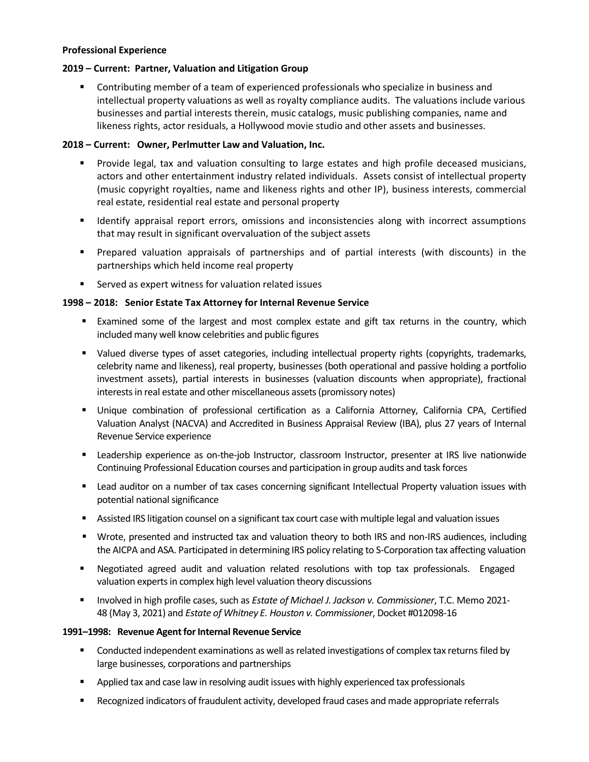### **Professional Experience**

# **2019 – Current: Partner, Valuation and Litigation Group**

■ Contributing member of a team of experienced professionals who specialize in business and intellectual property valuations as well as royalty compliance audits. The valuations include various businesses and partial interests therein, music catalogs, music publishing companies, name and likeness rights, actor residuals, a Hollywood movie studio and other assets and businesses.

# **2018 – Current: Owner, Perlmutter Law and Valuation, Inc.**

- Provide legal, tax and valuation consulting to large estates and high profile deceased musicians, actors and other entertainment industry related individuals. Assets consist of intellectual property (music copyright royalties, name and likeness rights and other IP), business interests, commercial real estate, residential real estate and personal property
- **■** Identify appraisal report errors, omissions and inconsistencies along with incorrect assumptions that may result in significant overvaluation of the subject assets
- Prepared valuation appraisals of partnerships and of partial interests (with discounts) in the partnerships which held income real property
- Served as expert witness for valuation related issues

# **1998 – 2018: Senior Estate Tax Attorney for Internal Revenue Service**

- Examined some of the largest and most complex estate and gift tax returns in the country, which included many well know celebrities and public figures
- Valued diverse types of asset categories, including intellectual property rights (copyrights, trademarks, celebrity name and likeness), real property, businesses (both operational and passive holding a portfolio investment assets), partial interests in businesses (valuation discounts when appropriate), fractional interests in real estate and other miscellaneous assets (promissory notes)
- Unique combination of professional certification as a California Attorney, California CPA, Certified Valuation Analyst (NACVA) and Accredited in Business Appraisal Review (IBA), plus 27 years of Internal Revenue Service experience
- Leadership experience as on-the-job Instructor, classroom Instructor, presenter at IRS live nationwide Continuing Professional Education courses and participation in group audits and task forces
- Lead auditor on a number of tax cases concerning significant Intellectual Property valuation issues with potential national significance
- Assisted IRS litigation counsel on a significant tax court case with multiple legal and valuation issues
- Wrote, presented and instructed tax and valuation theory to both IRS and non-IRS audiences, including the AICPA and ASA. Participated in determining IRS policy relating to S-Corporation tax affecting valuation
- Negotiated agreed audit and valuation related resolutions with top tax professionals. Engaged valuation experts in complex high level valuation theory discussions
- Involved in high profile cases, such as *Estate of Michael J. Jackson v. Commissioner*, T.C. Memo 2021- 48 (May 3, 2021) and *Estate of Whitney E. Houston v. Commissioner*, Docket #012098-16

# **1991–1998: Revenue Agent for Internal Revenue Service**

- Conducted independent examinations as well as related investigations of complex tax returns filed by large businesses, corporations and partnerships
- **•** Applied tax and case law in resolving audit issues with highly experienced tax professionals
- Recognized indicators of fraudulent activity, developed fraud cases and made appropriate referrals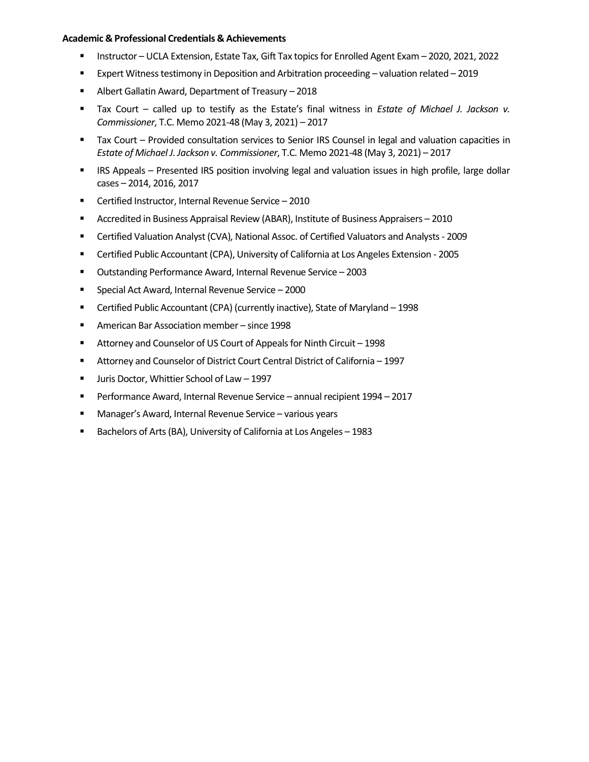#### **Academic & Professional Credentials & Achievements**

- Instructor UCLA Extension, Estate Tax, Gift Tax topics for Enrolled Agent Exam 2020, 2021, 2022
- Expert Witness testimony in Deposition and Arbitration proceeding valuation related 2019
- Albert Gallatin Award, Department of Treasury 2018
- Tax Court called up to testify as the Estate's final witness in *Estate of Michael J. Jackson v. Commissioner*, T.C. Memo 2021-48 (May 3, 2021) – 2017
- Tax Court Provided consultation services to Senior IRS Counsel in legal and valuation capacities in *Estate of Michael J. Jackson v. Commissioner*, T.C. Memo 2021-48 (May 3, 2021) – 2017
- IRS Appeals Presented IRS position involving legal and valuation issues in high profile, large dollar cases – 2014, 2016, 2017
- Certified Instructor, Internal Revenue Service 2010
- Accredited in Business Appraisal Review (ABAR), Institute of Business Appraisers 2010
- Certified Valuation Analyst (CVA), National Assoc. of Certified Valuators and Analysts 2009
- Certified Public Accountant (CPA), University of California at Los Angeles Extension 2005
- Outstanding Performance Award, Internal Revenue Service 2003
- Special Act Award, Internal Revenue Service 2000
- Certified Public Accountant (CPA) (currently inactive), State of Maryland 1998
- American Bar Association member since 1998
- Attorney and Counselor of US Court of Appeals for Ninth Circuit 1998
- Attorney and Counselor of District Court Central District of California 1997
- Juris Doctor, Whittier School of Law 1997
- Performance Award, Internal Revenue Service annual recipient 1994 2017
- Manager's Award, Internal Revenue Service various years
- Bachelors of Arts (BA), University of California at Los Angeles 1983